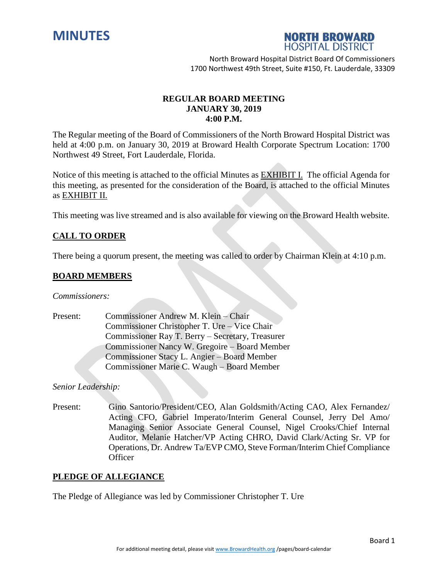



# **REGULAR BOARD MEETING JANUARY 30, 2019 4:00 P.M.**

The Regular meeting of the Board of Commissioners of the North Broward Hospital District was held at 4:00 p.m. on January 30, 2019 at Broward Health Corporate Spectrum Location: 1700 Northwest 49 Street, Fort Lauderdale, Florida.

Notice of this meeting is attached to the official Minutes as EXHIBIT I. The official Agenda for this meeting, as presented for the consideration of the Board, is attached to the official Minutes as EXHIBIT II.

This meeting was live streamed and is also available for viewing on the Broward Health website.

# **CALL TO ORDER**

There being a quorum present, the meeting was called to order by Chairman Klein at 4:10 p.m.

### **BOARD MEMBERS**

*Commissioners:*

Present: Commissioner Andrew M. Klein – Chair Commissioner Christopher T. Ure – Vice Chair Commissioner Ray T. Berry – Secretary, Treasurer Commissioner Nancy W. Gregoire – Board Member Commissioner Stacy L. Angier – Board Member Commissioner Marie C. Waugh – Board Member

*Senior Leadership:*

Present: Gino Santorio/President/CEO, Alan Goldsmith/Acting CAO, Alex Fernandez/ Acting CFO, Gabriel Imperato/Interim General Counsel, Jerry Del Amo/ Managing Senior Associate General Counsel, Nigel Crooks/Chief Internal Auditor, Melanie Hatcher/VP Acting CHRO, David Clark/Acting Sr. VP for Operations, Dr. Andrew Ta/EVP CMO, Steve Forman/Interim Chief Compliance **Officer** 

#### **PLEDGE OF ALLEGIANCE**

The Pledge of Allegiance was led by Commissioner Christopher T. Ure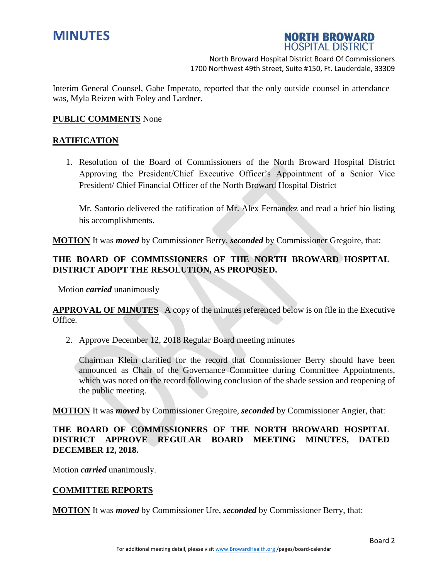



Interim General Counsel, Gabe Imperato, reported that the only outside counsel in attendance was, Myla Reizen with Foley and Lardner.

#### **PUBLIC COMMENTS** None

## **RATIFICATION**

1. Resolution of the Board of Commissioners of the North Broward Hospital District Approving the President/Chief Executive Officer's Appointment of a Senior Vice President/ Chief Financial Officer of the North Broward Hospital District

Mr. Santorio delivered the ratification of Mr. Alex Fernandez and read a brief bio listing his accomplishments.

**MOTION** It was *moved* by Commissioner Berry, *seconded* by Commissioner Gregoire, that:

# **THE BOARD OF COMMISSIONERS OF THE NORTH BROWARD HOSPITAL DISTRICT ADOPT THE RESOLUTION, AS PROPOSED.**

Motion *carried* unanimously

**APPROVAL OF MINUTES** A copy of the minutes referenced below is on file in the Executive Office.

2. Approve December 12, 2018 Regular Board meeting minutes

Chairman Klein clarified for the record that Commissioner Berry should have been announced as Chair of the Governance Committee during Committee Appointments, which was noted on the record following conclusion of the shade session and reopening of the public meeting.

**MOTION** It was *moved* by Commissioner Gregoire, *seconded* by Commissioner Angier, that:

# **THE BOARD OF COMMISSIONERS OF THE NORTH BROWARD HOSPITAL DISTRICT APPROVE REGULAR BOARD MEETING MINUTES, DATED DECEMBER 12, 2018.**

Motion *carried* unanimously.

#### **COMMITTEE REPORTS**

**MOTION** It was *moved* by Commissioner Ure, *seconded* by Commissioner Berry, that: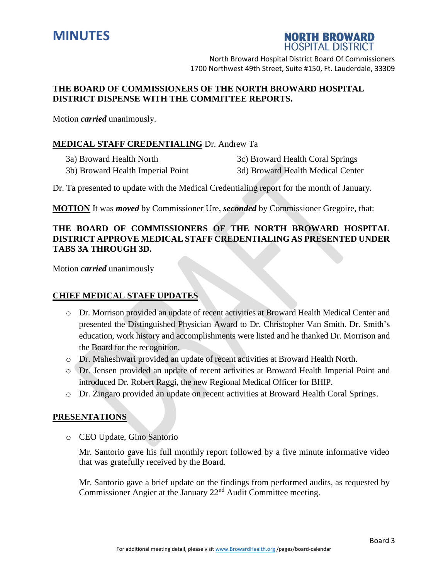



## **THE BOARD OF COMMISSIONERS OF THE NORTH BROWARD HOSPITAL DISTRICT DISPENSE WITH THE COMMITTEE REPORTS.**

Motion *carried* unanimously.

## **MEDICAL STAFF CREDENTIALING** Dr. Andrew Ta

3a) Broward Health North 3c) Broward Health Coral Springs 3b) Broward Health Imperial Point 3d) Broward Health Medical Center

Dr. Ta presented to update with the Medical Credentialing report for the month of January.

**MOTION** It was *moved* by Commissioner Ure, *seconded* by Commissioner Gregoire, that:

# **THE BOARD OF COMMISSIONERS OF THE NORTH BROWARD HOSPITAL DISTRICT APPROVE MEDICAL STAFF CREDENTIALING AS PRESENTED UNDER TABS 3A THROUGH 3D.**

Motion *carried* unanimously

## **CHIEF MEDICAL STAFF UPDATES**

- o Dr. Morrison provided an update of recent activities at Broward Health Medical Center and presented the Distinguished Physician Award to Dr. Christopher Van Smith. Dr. Smith's education, work history and accomplishments were listed and he thanked Dr. Morrison and the Board for the recognition.
- o Dr. Maheshwari provided an update of recent activities at Broward Health North.
- o Dr. Jensen provided an update of recent activities at Broward Health Imperial Point and introduced Dr. Robert Raggi, the new Regional Medical Officer for BHIP.
- o Dr. Zingaro provided an update on recent activities at Broward Health Coral Springs.

## **PRESENTATIONS**

o CEO Update, Gino Santorio

Mr. Santorio gave his full monthly report followed by a five minute informative video that was gratefully received by the Board.

Mr. Santorio gave a brief update on the findings from performed audits, as requested by Commissioner Angier at the January 22nd Audit Committee meeting.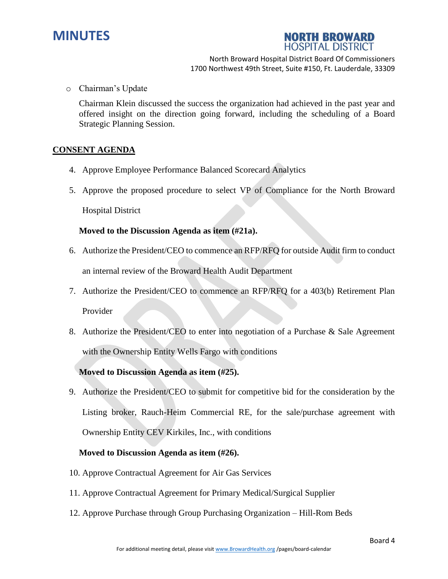



o Chairman's Update

Chairman Klein discussed the success the organization had achieved in the past year and offered insight on the direction going forward, including the scheduling of a Board Strategic Planning Session.

### **CONSENT AGENDA**

- 4. Approve Employee Performance Balanced Scorecard Analytics
- 5. Approve the proposed procedure to select VP of Compliance for the North Broward Hospital District

### **Moved to the Discussion Agenda as item (#21a).**

- 6. Authorize the President/CEO to commence an RFP/RFQ for outside Audit firm to conduct an internal review of the Broward Health Audit Department
- 7. Authorize the President/CEO to commence an RFP/RFQ for a 403(b) Retirement Plan Provider
- 8. Authorize the President/CEO to enter into negotiation of a Purchase & Sale Agreement with the Ownership Entity Wells Fargo with conditions

## **Moved to Discussion Agenda as item (#25).**

9. Authorize the President/CEO to submit for competitive bid for the consideration by the Listing broker, Rauch-Heim Commercial RE, for the sale/purchase agreement with Ownership Entity CEV Kirkiles, Inc., with conditions

#### **Moved to Discussion Agenda as item (#26).**

- 10. Approve Contractual Agreement for Air Gas Services
- 11. Approve Contractual Agreement for Primary Medical/Surgical Supplier
- 12. Approve Purchase through Group Purchasing Organization Hill-Rom Beds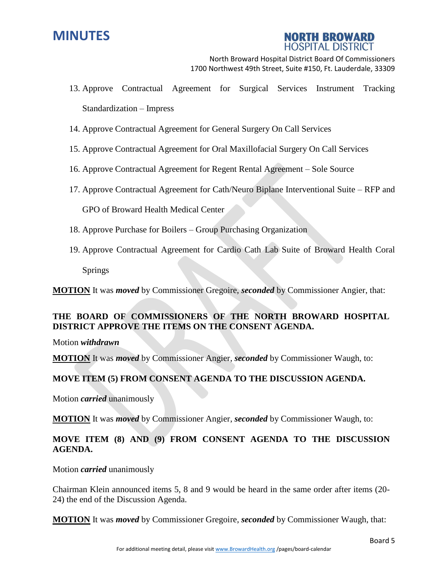



- 13. Approve Contractual Agreement for Surgical Services Instrument Tracking Standardization – Impress
- 14. Approve Contractual Agreement for General Surgery On Call Services
- 15. Approve Contractual Agreement for Oral Maxillofacial Surgery On Call Services
- 16. Approve Contractual Agreement for Regent Rental Agreement Sole Source
- 17. Approve Contractual Agreement for Cath/Neuro Biplane Interventional Suite RFP and

GPO of Broward Health Medical Center

- 18. Approve Purchase for Boilers Group Purchasing Organization
- 19. Approve Contractual Agreement for Cardio Cath Lab Suite of Broward Health Coral Springs

**MOTION** It was *moved* by Commissioner Gregoire, *seconded* by Commissioner Angier, that:

# **THE BOARD OF COMMISSIONERS OF THE NORTH BROWARD HOSPITAL DISTRICT APPROVE THE ITEMS ON THE CONSENT AGENDA.**

Motion *withdrawn*

**MOTION** It was *moved* by Commissioner Angier, *seconded* by Commissioner Waugh, to:

## **MOVE ITEM (5) FROM CONSENT AGENDA TO THE DISCUSSION AGENDA.**

Motion *carried* unanimously

**MOTION** It was *moved* by Commissioner Angier, *seconded* by Commissioner Waugh, to:

# **MOVE ITEM (8) AND (9) FROM CONSENT AGENDA TO THE DISCUSSION AGENDA.**

Motion *carried* unanimously

Chairman Klein announced items 5, 8 and 9 would be heard in the same order after items (20- 24) the end of the Discussion Agenda.

**MOTION** It was *moved* by Commissioner Gregoire, *seconded* by Commissioner Waugh, that: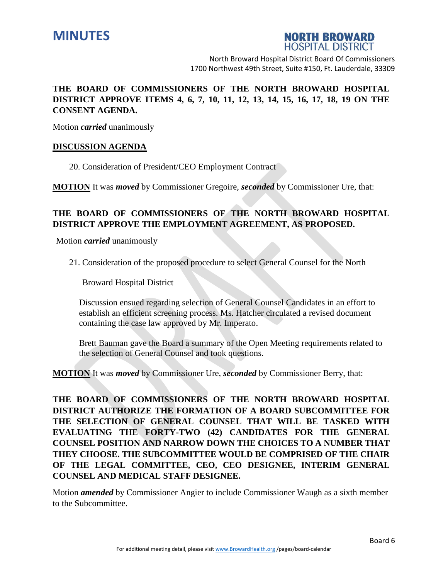



# **THE BOARD OF COMMISSIONERS OF THE NORTH BROWARD HOSPITAL DISTRICT APPROVE ITEMS 4, 6, 7, 10, 11, 12, 13, 14, 15, 16, 17, 18, 19 ON THE CONSENT AGENDA.**

Motion *carried* unanimously

## **DISCUSSION AGENDA**

20. Consideration of President/CEO Employment Contract

**MOTION** It was *moved* by Commissioner Gregoire, *seconded* by Commissioner Ure, that:

# **THE BOARD OF COMMISSIONERS OF THE NORTH BROWARD HOSPITAL DISTRICT APPROVE THE EMPLOYMENT AGREEMENT, AS PROPOSED.**

Motion *carried* unanimously

21. Consideration of the proposed procedure to select General Counsel for the North

Broward Hospital District

Discussion ensued regarding selection of General Counsel Candidates in an effort to establish an efficient screening process. Ms. Hatcher circulated a revised document containing the case law approved by Mr. Imperato.

Brett Bauman gave the Board a summary of the Open Meeting requirements related to the selection of General Counsel and took questions.

**MOTION** It was *moved* by Commissioner Ure, *seconded* by Commissioner Berry, that:

**THE BOARD OF COMMISSIONERS OF THE NORTH BROWARD HOSPITAL DISTRICT AUTHORIZE THE FORMATION OF A BOARD SUBCOMMITTEE FOR THE SELECTION OF GENERAL COUNSEL THAT WILL BE TASKED WITH EVALUATING THE FORTY-TWO (42) CANDIDATES FOR THE GENERAL COUNSEL POSITION AND NARROW DOWN THE CHOICES TO A NUMBER THAT THEY CHOOSE. THE SUBCOMMITTEE WOULD BE COMPRISED OF THE CHAIR OF THE LEGAL COMMITTEE, CEO, CEO DESIGNEE, INTERIM GENERAL COUNSEL AND MEDICAL STAFF DESIGNEE.**

Motion *amended* by Commissioner Angier to include Commissioner Waugh as a sixth member to the Subcommittee.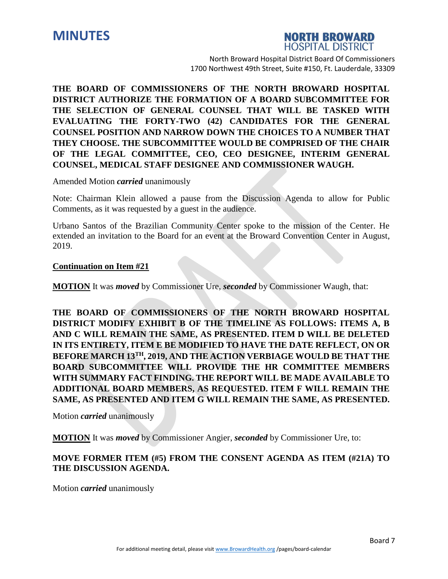



**THE BOARD OF COMMISSIONERS OF THE NORTH BROWARD HOSPITAL DISTRICT AUTHORIZE THE FORMATION OF A BOARD SUBCOMMITTEE FOR THE SELECTION OF GENERAL COUNSEL THAT WILL BE TASKED WITH EVALUATING THE FORTY-TWO (42) CANDIDATES FOR THE GENERAL COUNSEL POSITION AND NARROW DOWN THE CHOICES TO A NUMBER THAT THEY CHOOSE. THE SUBCOMMITTEE WOULD BE COMPRISED OF THE CHAIR OF THE LEGAL COMMITTEE, CEO, CEO DESIGNEE, INTERIM GENERAL COUNSEL, MEDICAL STAFF DESIGNEE AND COMMISSIONER WAUGH.**

#### Amended Motion *carried* unanimously

Note: Chairman Klein allowed a pause from the Discussion Agenda to allow for Public Comments, as it was requested by a guest in the audience.

Urbano Santos of the Brazilian Community Center spoke to the mission of the Center. He extended an invitation to the Board for an event at the Broward Convention Center in August, 2019.

#### **Continuation on Item #21**

**MOTION** It was *moved* by Commissioner Ure, *seconded* by Commissioner Waugh, that:

**THE BOARD OF COMMISSIONERS OF THE NORTH BROWARD HOSPITAL DISTRICT MODIFY EXHIBIT B OF THE TIMELINE AS FOLLOWS: ITEMS A, B AND C WILL REMAIN THE SAME, AS PRESENTED. ITEM D WILL BE DELETED IN ITS ENTIRETY, ITEM E BE MODIFIED TO HAVE THE DATE REFLECT, ON OR BEFORE MARCH 13TH, 2019, AND THE ACTION VERBIAGE WOULD BE THAT THE BOARD SUBCOMMITTEE WILL PROVIDE THE HR COMMITTEE MEMBERS WITH SUMMARY FACT FINDING. THE REPORT WILL BE MADE AVAILABLE TO ADDITIONAL BOARD MEMBERS, AS REQUESTED. ITEM F WILL REMAIN THE SAME, AS PRESENTED AND ITEM G WILL REMAIN THE SAME, AS PRESENTED.**

Motion *carried* unanimously

**MOTION** It was *moved* by Commissioner Angier, *seconded* by Commissioner Ure, to:

## **MOVE FORMER ITEM (#5) FROM THE CONSENT AGENDA AS ITEM (#21A) TO THE DISCUSSION AGENDA.**

Motion *carried* unanimously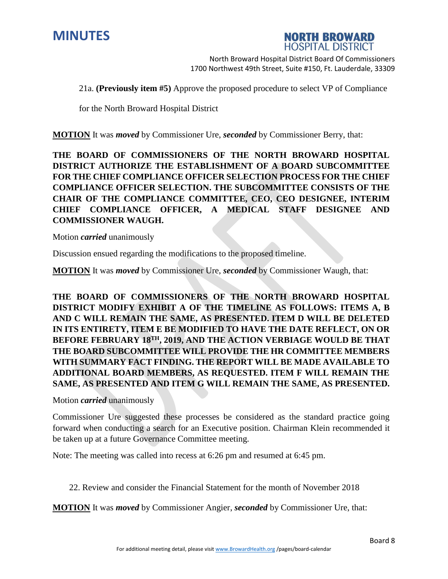



21a. **(Previously item #5)** Approve the proposed procedure to select VP of Compliance

for the North Broward Hospital District

**MOTION** It was *moved* by Commissioner Ure, *seconded* by Commissioner Berry, that:

**THE BOARD OF COMMISSIONERS OF THE NORTH BROWARD HOSPITAL DISTRICT AUTHORIZE THE ESTABLISHMENT OF A BOARD SUBCOMMITTEE FOR THE CHIEF COMPLIANCE OFFICER SELECTION PROCESS FOR THE CHIEF COMPLIANCE OFFICER SELECTION. THE SUBCOMMITTEE CONSISTS OF THE CHAIR OF THE COMPLIANCE COMMITTEE, CEO, CEO DESIGNEE, INTERIM CHIEF COMPLIANCE OFFICER, A MEDICAL STAFF DESIGNEE AND COMMISSIONER WAUGH.**

Motion *carried* unanimously

Discussion ensued regarding the modifications to the proposed timeline.

**MOTION** It was *moved* by Commissioner Ure, *seconded* by Commissioner Waugh, that:

**THE BOARD OF COMMISSIONERS OF THE NORTH BROWARD HOSPITAL DISTRICT MODIFY EXHIBIT A OF THE TIMELINE AS FOLLOWS: ITEMS A, B AND C WILL REMAIN THE SAME, AS PRESENTED. ITEM D WILL BE DELETED IN ITS ENTIRETY, ITEM E BE MODIFIED TO HAVE THE DATE REFLECT, ON OR BEFORE FEBRUARY 18TH, 2019, AND THE ACTION VERBIAGE WOULD BE THAT THE BOARD SUBCOMMITTEE WILL PROVIDE THE HR COMMITTEE MEMBERS WITH SUMMARY FACT FINDING. THE REPORT WILL BE MADE AVAILABLE TO ADDITIONAL BOARD MEMBERS, AS REQUESTED. ITEM F WILL REMAIN THE SAME, AS PRESENTED AND ITEM G WILL REMAIN THE SAME, AS PRESENTED.**

Motion *carried* unanimously

Commissioner Ure suggested these processes be considered as the standard practice going forward when conducting a search for an Executive position. Chairman Klein recommended it be taken up at a future Governance Committee meeting.

Note: The meeting was called into recess at 6:26 pm and resumed at 6:45 pm.

22. Review and consider the Financial Statement for the month of November 2018

**MOTION** It was *moved* by Commissioner Angier, *seconded* by Commissioner Ure, that: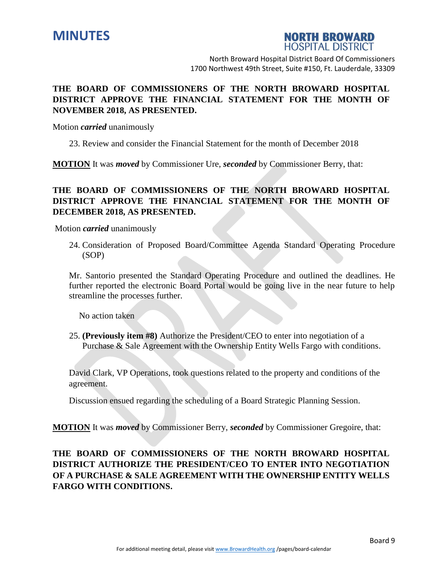



# **THE BOARD OF COMMISSIONERS OF THE NORTH BROWARD HOSPITAL DISTRICT APPROVE THE FINANCIAL STATEMENT FOR THE MONTH OF NOVEMBER 2018, AS PRESENTED.**

Motion *carried* unanimously

23. Review and consider the Financial Statement for the month of December 2018

**MOTION** It was *moved* by Commissioner Ure, *seconded* by Commissioner Berry, that:

# **THE BOARD OF COMMISSIONERS OF THE NORTH BROWARD HOSPITAL DISTRICT APPROVE THE FINANCIAL STATEMENT FOR THE MONTH OF DECEMBER 2018, AS PRESENTED.**

Motion *carried* unanimously

24. Consideration of Proposed Board/Committee Agenda Standard Operating Procedure (SOP)

Mr. Santorio presented the Standard Operating Procedure and outlined the deadlines. He further reported the electronic Board Portal would be going live in the near future to help streamline the processes further.

No action taken

25. **(Previously item #8)** Authorize the President/CEO to enter into negotiation of a Purchase & Sale Agreement with the Ownership Entity Wells Fargo with conditions.

David Clark, VP Operations, took questions related to the property and conditions of the agreement.

Discussion ensued regarding the scheduling of a Board Strategic Planning Session.

**MOTION** It was *moved* by Commissioner Berry, *seconded* by Commissioner Gregoire, that:

**THE BOARD OF COMMISSIONERS OF THE NORTH BROWARD HOSPITAL DISTRICT AUTHORIZE THE PRESIDENT/CEO TO ENTER INTO NEGOTIATION OF A PURCHASE & SALE AGREEMENT WITH THE OWNERSHIP ENTITY WELLS FARGO WITH CONDITIONS.**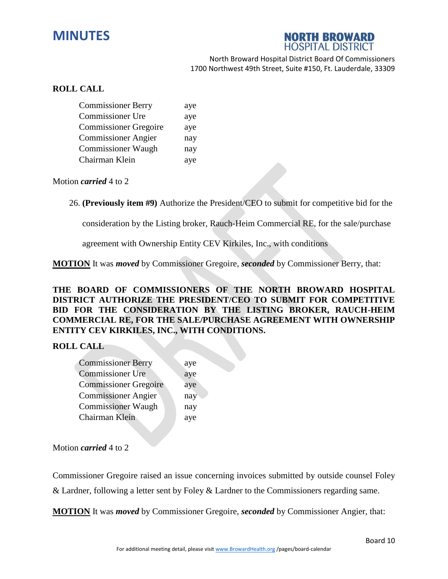# **MINUTES**



North Broward Hospital District Board Of Commissioners 1700 Northwest 49th Street, Suite #150, Ft. Lauderdale, 33309

## **ROLL CALL**

| <b>Commissioner Berry</b>    | aye |
|------------------------------|-----|
| <b>Commissioner Ure</b>      | aye |
| <b>Commissioner Gregoire</b> | aye |
| <b>Commissioner Angier</b>   | nay |
| <b>Commissioner Waugh</b>    | nay |
| Chairman Klein               | aye |

Motion *carried* 4 to 2

26. **(Previously item #9)** Authorize the President/CEO to submit for competitive bid for the

consideration by the Listing broker, Rauch-Heim Commercial RE, for the sale/purchase

agreement with Ownership Entity CEV Kirkiles, Inc., with conditions

**MOTION** It was *moved* by Commissioner Gregoire, *seconded* by Commissioner Berry, that:

**THE BOARD OF COMMISSIONERS OF THE NORTH BROWARD HOSPITAL DISTRICT AUTHORIZE THE PRESIDENT/CEO TO SUBMIT FOR COMPETITIVE BID FOR THE CONSIDERATION BY THE LISTING BROKER, RAUCH-HEIM COMMERCIAL RE, FOR THE SALE/PURCHASE AGREEMENT WITH OWNERSHIP ENTITY CEV KIRKILES, INC., WITH CONDITIONS.**

## **ROLL CALL**

| <b>Commissioner Berry</b>    | aye |
|------------------------------|-----|
| <b>Commissioner Ure</b>      | aye |
| <b>Commissioner Gregoire</b> | aye |
| <b>Commissioner Angier</b>   | nay |
| <b>Commissioner Waugh</b>    | nay |
| Chairman Klein               | aye |
|                              |     |

Motion *carried* 4 to 2

Commissioner Gregoire raised an issue concerning invoices submitted by outside counsel Foley & Lardner, following a letter sent by Foley & Lardner to the Commissioners regarding same.

**MOTION** It was *moved* by Commissioner Gregoire, *seconded* by Commissioner Angier, that: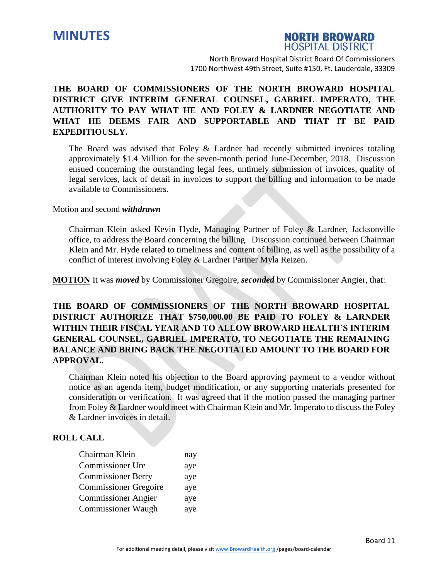



# **THE BOARD OF COMMISSIONERS OF THE NORTH BROWARD HOSPITAL DISTRICT GIVE INTERIM GENERAL COUNSEL, GABRIEL IMPERATO, THE AUTHORITY TO PAY WHAT HE AND FOLEY & LARDNER NEGOTIATE AND WHAT HE DEEMS FAIR AND SUPPORTABLE AND THAT IT BE PAID EXPEDITIOUSLY.**

The Board was advised that Foley  $\&$  Lardner had recently submitted invoices totaling approximately \$1.4 Million for the seven-month period June-December, 2018. Discussion ensued concerning the outstanding legal fees, untimely submission of invoices, quality of legal services, lack of detail in invoices to support the billing and information to be made available to Commissioners.

#### Motion and second *withdrawn*

Chairman Klein asked Kevin Hyde, Managing Partner of Foley & Lardner, Jacksonville office, to address the Board concerning the billing. Discussion continued between Chairman Klein and Mr. Hyde related to timeliness and content of billing, as well as the possibility of a conflict of interest involving Foley & Lardner Partner Myla Reizen.

**MOTION** It was *moved* by Commissioner Gregoire, *seconded* by Commissioner Angier, that:

**THE BOARD OF COMMISSIONERS OF THE NORTH BROWARD HOSPITAL DISTRICT AUTHORIZE THAT \$750,000.00 BE PAID TO FOLEY & LARNDER WITHIN THEIR FISCAL YEAR AND TO ALLOW BROWARD HEALTH'S INTERIM GENERAL COUNSEL, GABRIEL IMPERATO, TO NEGOTIATE THE REMAINING BALANCE AND BRING BACK THE NEGOTIATED AMOUNT TO THE BOARD FOR APPROVAL.**

Chairman Klein noted his objection to the Board approving payment to a vendor without notice as an agenda item, budget modification, or any supporting materials presented for consideration or verification. It was agreed that if the motion passed the managing partner from Foley & Lardner would meet with Chairman Klein and Mr. Imperato to discuss the Foley & Lardner invoices in detail.

#### **ROLL CALL**

| Chairman Klein               | nay |
|------------------------------|-----|
| Commissioner Ure             | aye |
| <b>Commissioner Berry</b>    | aye |
| <b>Commissioner Gregoire</b> | aye |
| <b>Commissioner Angier</b>   | aye |
| <b>Commissioner Waugh</b>    | aye |